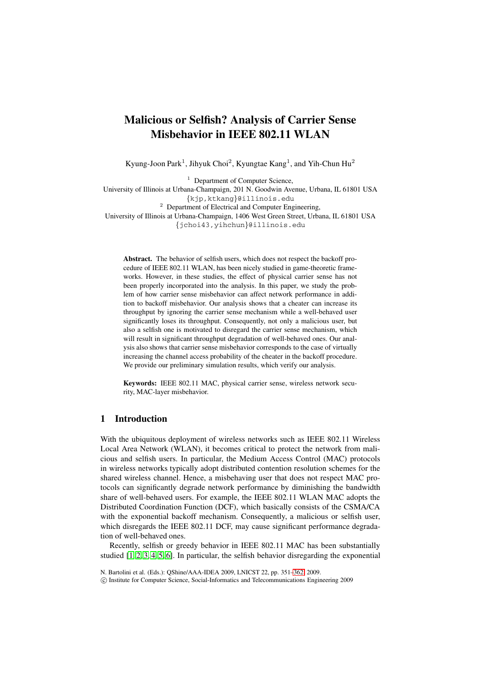# **Malicious or Selfish? Analysis of Carrier Sense Misbehavior in IEEE 802.11 WLAN**

Kyung-Joon Park<sup>1</sup>, Jihyuk Choi<sup>2</sup>, Kyungtae Kang<sup>1</sup>, and Yih-Chun Hu<sup>2</sup>

 $<sup>1</sup>$  Department of Computer Science,</sup>

University of Illinois at Urbana-Champaign, 201 N. Goodwin Avenue, Urbana, IL 61801 USA *{*kjp,ktkang*}*@illinois.edu <sup>2</sup> Department of Electrical and Computer Engineering, University of Illinois at Urbana-Champaign, 1406 West Green Street, Urbana, IL 61801 USA *{*jchoi43,yihchun*}*@illinois.edu

**Abstract.** The behavior of selfish users, which does not respect the backoff procedure of IEEE 802.11 WLAN, has been nicely studied in game-theoretic frameworks. However, in these studies, the effect of physical carrier sense has not been properly incorporated into the analysis. In this paper, we study the problem of how carrier sense misbehavior can affect network performance in addition to backoff misbehavior. Our analysis shows that a cheater can increase its throughput by ignoring the carrier sense mechanism while a well-behaved user significantly loses its throughput. Consequently, not only a malicious user, but also a selfish one is motivated to disregard the carrier sense mechanism, which will result in significant throughput degradation of well-behaved ones. Our analysis also shows that carrier sense misbehavior corresponds to the case of virtually increasing the channel access probability of the cheater in the backoff procedure. We provide our preliminary simulation results, which verify our analysis.

**Keywords:** IEEE 802.11 MAC, physical carrier sense, wireless network security, MAC-layer misbehavior.

# **1 Introduction**

With the ubiquitous deployment of wireless networks such as IEEE 802.11 Wireless Local Area Network (WLAN), it becomes critical to protect the network from malicious and selfish users. In particular, the Medium Access Control (MAC) protocols in wireless networks typically adopt distributed contention resolution schemes for the shared wireless channel. Hence, a misbehaving user that does not respect MAC protocols can significantly degrade network performance by diminishing the bandwidth share of well-behaved users. For example, the IEEE 802.11 WLAN MAC adopts the Distributed Coordination Function (DCF), which basically consists of the CSMA/CA with the exponential backoff mechanism. Consequently, a malicious or selfish user, which disregards the IEEE 802.11 DCF, may cause significant performance degradation of well-behaved ones.

Recently, selfish or greedy behavior in IEEE 802.11 MAC has been substantially studied [1, 2, 3, 4, 5, 6]. In particular, the selfish behavior disregarding the exponential

N. Bartolini et al. (Eds.): QShine/AAA-IDEA 2009, LNICST 22, pp. 351–362, 2009.

-c Institute for Computer Science, Social-Informatics and Telecommunications Engineering 2009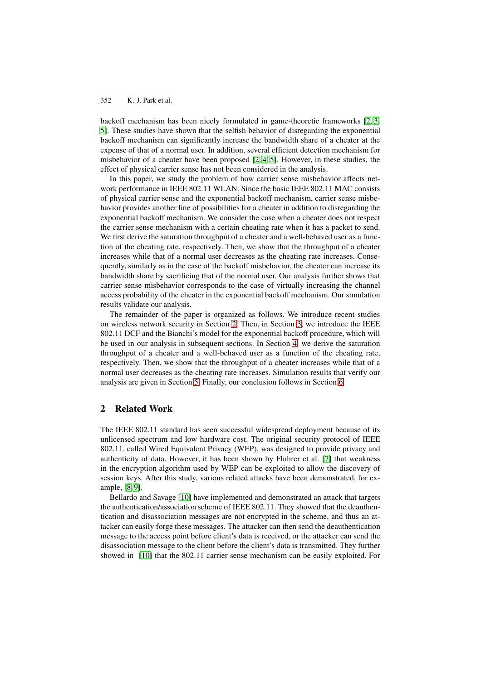backoff mechanism has been nicely formulated in game-theoretic frameworks [2, 3, 5]. These studies have shown that the selfish behavior of disregarding the exponential backoff mechanism can significantly increase the bandwidth share of a cheater at the expense of that of a normal user. In addition, several efficient detection mechanism for misbehavior of a c[he](#page-11-1)ater have been proposed  $[2, 4, 5]$ . However, in these studie[s, t](#page-11-0)he [ef](#page-11-2)fect of physical carrier sense has not been considered in the analysis.

In this paper, we study the problem of how carrier sense misbehavior affects network performance in IEEE 802.11 WLAN. Since the basic IEEE 802.11 MAC consists of physical carrier sense and the exponential b[ac](#page-11-0)[kof](#page-11-3)[f m](#page-11-2)echanism, carrier sense misbehavior provides another line of possibilities for a cheater in addition to disregarding the exponential backoff mechanism. We consider the case when a cheater does not respect the carrier sense mechanism with a certain cheating rate when it has a packet to send. We first derive the saturation throughput of a cheater and a well-behaved user as a function of the cheating rate, respectively. Then, we show that the throughput of a cheater increases while that of a normal user decreases as the cheating rate increases. Consequently, similarly as in the case of the backoff misbehavior, the cheater can increase its bandwidth share by sacrificing that of the normal user. Our analysis further shows that carrier sense misbehavior corresponds to the case of virtually increasing the channel access probability of the cheater in the exponential backoff mechanism. Our simulation results validate our analysis.

The remainder of the paper is organized as follows. We introduce recent studies on wireless network security in Section 2. Then, in Section 3, we introduce the IEEE 802.11 DCF and the Bianchi's model for the exponential backoff procedure, which will be used in our analysis in subsequent sections. In Section 4, we derive the saturation throughput of a cheater and a well-behaved user as a function of the cheating rate, respectively. Then, we show that the thr[ou](#page-1-0)ghput of a cheate[r i](#page-2-0)ncreases while that of a normal user decreases as the cheating rate increases. Simulation results that verify our analysis are given in Section 5. Finally, our conclusion foll[ow](#page-4-0)s in Section 6.

## **2 Related Work**

<span id="page-1-0"></span>The IEEE 802.11 standard [has](#page-8-0) seen successful widespread deployment [bec](#page-11-4)ause of its unlicensed spectrum and low hardware cost. The original security protocol of IEEE 802.11, called Wired Equivalent Privacy (WEP), was designed to provide privacy and authenticity of data. However, it has been shown by Fluhrer et al. [7] that weakness in the encryption algorithm used by WEP can be exploited to allow the discovery of session keys. After this study, various related attacks have been demonstrated, for example, [8, 9].

Bellardo and Savage [10] have implemented and demonstrated an [att](#page-11-5)ack that targets the authentication/association scheme of IEEE 802.11. They showed that the deauthentication and disassociation messages are not encrypted in the scheme, and thus an attacker c[an](#page-11-6) [ea](#page-11-7)sily forge these messages. The attacker can then send the deauthentication message to the access p[oint](#page-11-8) before client's data is received, or the attacker can send the disassociation message to the client before the client's data is transmitted. They further showed in [10] that the 802.11 carrier sense mechanism can be easily exploited. For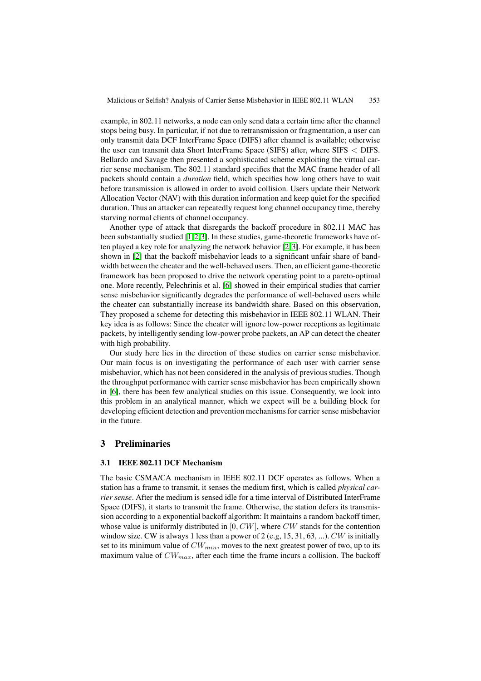example, in 802.11 networks, a node can only send data a certain time after the channel stops being busy. In particular, if not due to retransmission or fragmentation, a user can only transmit data DCF InterFrame Space (DIFS) after channel is available; otherwise the user can transmit data Short InterFrame Space (SIFS) after, where SIFS < DIFS. Bellardo and Savage then presented a sophisticated scheme exploiting the virtual carrier sense mechanism. The 802.11 standard specifies that the MAC frame header of all packets should contain a *duration* field, which specifies how long others have to wait before transmission is allowed in order to avoid collision. Users update their Network Allocation Vector (NAV) with this duration information and keep quiet for the specified duration. Thus an attacker can repeatedly request long channel occupancy time, thereby starving normal clients of channel occupancy.

Another type of attack that disregards the backoff procedure in 802.11 MAC has been substantially studied [1,2,3]. In these studies, game-theoretic frameworks have often played a key role for analyzing the network behavior [2,3]. For example, it has been shown in [2] that the backoff misbehavior leads to a significant unfair share of bandwidth between the cheater and the well-behaved users. Then, an efficient game-theoretic framework has been prop[ose](#page-11-9)[d](#page-11-0) [to](#page-11-1) drive the network operating point to a pareto-optimal one. More recently, Pelechrinis et al. [6] showed in thei[r e](#page-11-0)[m](#page-11-1)pirical studies that carrier sense mis[beh](#page-11-0)avior significantly degrades the performance of well-behaved users while the cheater can substantially increase its bandwidth share. Based on this observation, They proposed a scheme for detecting this misbehavior in IEEE 802.11 WLAN. Their key idea is as follows: Since the cheat[er](#page-11-10) will ignore low-power receptions as legitimate packets, by intelligently sending low-power probe packets, an AP can detect the cheater with high probability.

Our study here lies in the direction of these studies on carrier sense misbehavior. Our main focus is on investigating the performance of each user with carrier sense misbehavior, which has not been considered in the analysis of previous studies. Though the throughput performance with carrier sense misbehavior has been empirically shown in [6], there has been few analytical studies on this issue. Consequently, we look into this problem in an analytical manner, which we expect will be a building block for developing efficient detection and prevention mechanisms for carrier sense misbehavior in the future.

#### **3 Preliminaries**

#### **3.1 IEEE 802.11 DCF Mechanism**

<span id="page-2-0"></span>The basic CSMA/CA mechanism in IEEE 802.11 DCF operates as follows. When a station has a frame to transmit, it senses the medium first, which is called *physical carrier sense*. After the medium is sensed idle for a time interval of Distributed InterFrame Space (DIFS), it starts to transmit the frame. Otherwise, the station defers its transmission according to a exponential backoff algorithm: It maintains a random backoff timer, whose value is uniformly distributed in  $[0, CW]$ , where CW stands for the contention window size. CW is always 1 less than a power of 2 (e.g,  $15, 31, 63, ...$ ). CW is initially set to its minimum value of  $CW_{min}$ , moves to the next greatest power of two, up to its maximum value of  $CW_{max}$ , after each time the frame incurs a collision. The backoff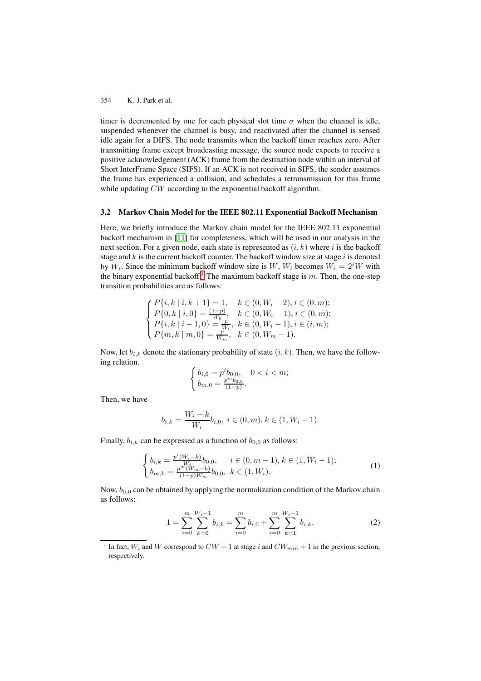timer is decremented by one for each physical slot time  $\sigma$  when the channel is idle, suspended whenever the channel is busy, and reactivated after the channel is sensed idle again for a DIFS. The node transmits when the backoff timer reaches zero. After transmitting frame except broadcasting message, the source node expects to receive a positive acknowledgement (ACK) frame from the destination node within an interval of Short InterFrame Space (SIFS). If an ACK is not received in SIFS, the sender assumes the frame has experienced a collision, and schedules a retransmission for this frame while updating CW according to the exponential backoff algorithm.

#### **3.2 Markov Chain Model for the IEEE 802.11 Exponential Backoff Mechanism**

Here, we briefly introduce the Markov chain model for the IEEE 802.11 exponential backoff mechanism in [11] for completeness, which will be used in our analysis in the next section. For a given node, each state is represented as  $(i, k)$  where i is the backoff stage and  $k$  is the current backoff counter. The backoff window size at stage  $i$  is denoted by  $W_i$ . Since the minimum backoff window size is W,  $W_i$  becomes  $W_i = 2^i W$  with the binary exponential [bac](#page-11-11)koff.<sup>1</sup> The maximum backoff stage is  $m$ . Then, the one-step transition probabilities are as follows:

$$
\left\{\begin{array}{ll} P\{i,k \mid i,k+1\}=1, & k\in(0,W_i-2), i\in(0,m);\\ P\{0,k \mid i,0\}=\frac{(1-p)}{W_0}, & k\in(0,W_0-1), i\in(0,m);\\ P\{i,k \mid i-1,0\}=\frac{p}{W_i}, & k\in(0,W_i-1), i\in(i,m);\\ P\{m,k \mid m,0\}=\frac{p}{W_m}, & k\in(0,W_m-1).\end{array}\right.
$$

Now, let  $b_{i,k}$  denote the stationary probability of state  $(i, k)$ . Then, we have the following relation.

<span id="page-3-0"></span>
$$
\begin{cases} b_{i,0} = p^i b_{0,0}, & 0 < i < m; \\ b_{m,0} = \frac{p^m b_{0,0}}{(1-p)}. \end{cases}
$$

Then, we have

$$
b_{i,k}=\frac{W_i-k}{W_i}b_{i,0},\ i\in(0,m),k\in(1,W_i-1).
$$

Finally,  $b_{i,k}$  can be expressed as a function of  $b_{0,0}$  as follows:

$$
\begin{cases} b_{i,k} = \frac{p^i (W_i - k)}{W_i} b_{0,0}, \quad i \in (0, m - 1), k \in (1, W_i - 1);\\ b_{m,k} = \frac{p^m (W_m - k)}{(1 - p)W_m} b_{0,0}, \ k \in (1, W_i). \end{cases}
$$
(1)

Now,  $b_{0,0}$  can be obtained by applying the normalization condition of the Markov chain as follows:

<span id="page-3-1"></span>
$$
1 = \sum_{i=0}^{m} \sum_{k=0}^{W_i - 1} b_{i,k} = \sum_{i=0}^{m} b_{i,0} + \sum_{i=0}^{m} \sum_{k=1}^{W_i - 1} b_{i,k}.
$$
 (2)

<sup>&</sup>lt;sup>1</sup> In fact,  $W_i$  and  $W$  correspond to  $CW + 1$  at stage  $i$  and  $CW_{min} + 1$  in the previous section, respectively.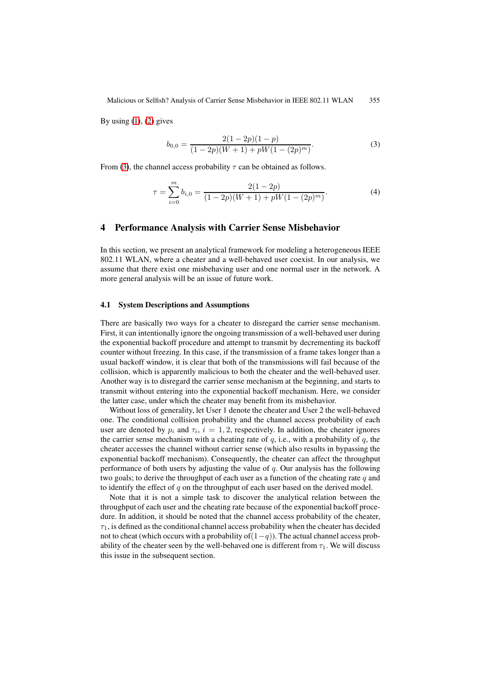By using  $(1)$ ,  $(2)$  gives

$$
b_{0,0} = \frac{2(1-2p)(1-p)}{(1-2p)(W+1)+pW(1-(2p)^m)}.
$$
\n(3)

From (3), [th](#page-3-0)e [ch](#page-3-1)annel access probability  $\tau$  can be obtained as follows.

<span id="page-4-1"></span>
$$
\tau = \sum_{i=0}^{m} b_{i,0} = \frac{2(1-2p)}{(1-2p)(W+1) + pW(1-(2p)^m)}.
$$
\n(4)

#### **4 Performance Analysis with Carrier Sense Misbehavior**

<span id="page-4-0"></span>In this section, we present an analytical framework for modeling a heterogeneous IEEE 802.11 WLAN, where a cheater and a well-behaved user coexist. In our analysis, we assume that there exist one misbehaving user and one normal user in the network. A more general analysis will be an issue of future work.

#### **4.1 System Descriptions and Assumptions**

There are basically two ways for a cheater to disregard the carrier sense mechanism. First, it can intentionally ignore the ongoing transmission of a well-behaved user during the exponential backoff procedure and attempt to transmit by decrementing its backoff counter without freezing. In this case, if the transmission of a frame takes longer than a usual backoff window, it is clear that both of the transmissions will fail because of the collision, which is apparently malicious to both the cheater and the well-behaved user. Another way is to disregard the carrier sense mechanism at the beginning, and starts to transmit without entering into the exponential backoff mechanism. Here, we consider the latter case, under which the cheater may benefit from its misbehavior.

Without loss of generality, let User 1 denote the cheater and User 2 the well-behaved one. The conditional collision probability and the channel access probability of each user are denoted by  $p_i$  and  $\tau_i$ ,  $i = 1, 2$ , respectively. In addition, the cheater ignores the carrier sense mechanism with a cheating rate of  $q$ , i.e., with a probability of  $q$ , the cheater accesses the channel without carrier sense (which also results in bypassing the exponential backoff mechanism). Consequently, the cheater can affect the throughput performance of both users by adjusting the value of  $q$ . Our analysis has the following two goals; to derive the throughput of each user as a function of the cheating rate q and to identify the effect of  $q$  on the throughput of each user based on the derived model.

Note that it is not a simple task to discover the analytical relation between the throughput of each user and the cheating rate because of the exponential backoff procedure. In addition, it should be noted that the channel access probability of the cheater,  $\tau_1$ , is defined as the conditional channel access probability when the cheater has decided not to cheat (which occurs with a probability of(1−q)). The actual channel access probability of the cheater seen by the well-behaved one is different from  $\tau_1$ . We will discuss this issue in the subsequent section.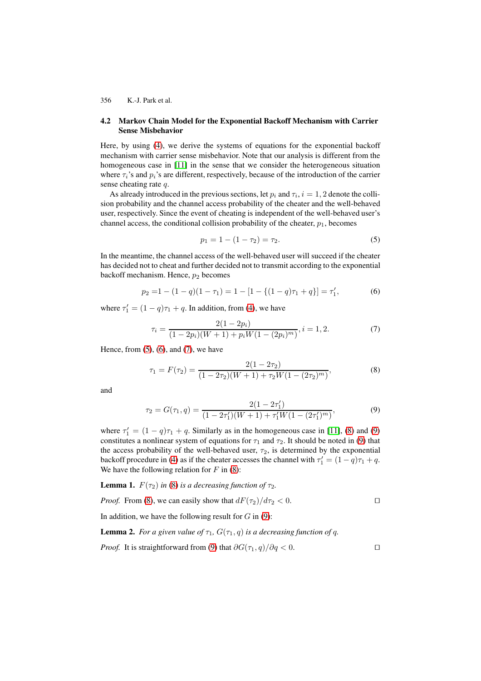#### **4.2 Markov Chain Model for the Exponential Backoff Mechanism with Carrier Sense Misbehavior**

Here, by using (4), we derive the systems of equations for the exponential backoff mechanism with carrier sense misbehavior. Note that our analysis is different from the homogeneous case in [11] in the sense that we consider the heterogeneous situation where  $\tau_i$ 's and  $p_i$ 's are different, respectively, because of the introduction of the carrier sense cheating r[ate](#page-4-1) q.

As already introduced in the previous sections, let  $p_i$  and  $\tau_i$ ,  $i = 1, 2$  denote the collision probability and th[e ch](#page-11-11)annel access probability of the cheater and the well-behaved user, respectively. Since the event of cheating is independent of the well-behaved user's channel access, the conditional collision probability of the cheater,  $p_1$ , becomes

<span id="page-5-5"></span><span id="page-5-4"></span>
$$
p_1 = 1 - (1 - \tau_2) = \tau_2. \tag{5}
$$

In the meantime, the channel access of the well-behaved user will succeed if the cheater has decided not to cheat and further decided not to transmit according to the exponential backoff mechanism. Hence,  $p_2$  becomes

$$
p_2 = 1 - (1 - q)(1 - \tau_1) = 1 - [1 - \{(1 - q)\tau_1 + q\}] = \tau'_1,\tag{6}
$$

where  $\tau_1' = (1 - q)\tau_1 + q$ . In addition, from (4), we have

$$
\tau_i = \frac{2(1 - 2p_i)}{(1 - 2p_i)(W + 1) + p_i W (1 - (2p_i)^m)}, i = 1, 2.
$$
\n(7)

Hence, from  $(5)$ ,  $(6)$ , and  $(7)$ , we have

<span id="page-5-0"></span>
$$
\tau_1 = F(\tau_2) = \frac{2(1 - 2\tau_2)}{(1 - 2\tau_2)(W + 1) + \tau_2 W (1 - (2\tau_2)^m)},
$$
\n(8)

and

<span id="page-5-3"></span>
$$
\tau_2 = G(\tau_1, q) = \frac{2(1 - 2\tau_1')}{(1 - 2\tau_1')(W + 1) + \tau_1' W (1 - (2\tau_1')^m)},
$$
\n(9)

where  $\tau_1' = (1 - q)\tau_1 + q$ . Similarly as in the homogeneous case in [11], (8) and (9) constitutes a nonlinear system of equations for  $\tau_1$  and  $\tau_2$ . It should be noted in (9) that the access probability of the well-behaved user,  $\tau_2$ , is determined by the exponential backoff procedure in (4) as if the cheater accesses the channel with  $\tau_1' = (1 - q)\tau_1 + q$ . We have the following relation for  $F$  in (8):

**Lemma 1.**  $F(\tau_2)$  *in* (8) *is a decreasing function of*  $\tau_2$ *.* 

*Proof.* From (8), we [can](#page-4-1) easily show that  $dF(\tau_2)/d\tau_2 < 0$ .

<span id="page-5-1"></span>In addition, we have the [fo](#page-5-0)llowing result for  $G$  in (9):

**Lemma 2.** *For a giv[en](#page-5-0) value of*  $\tau_1$ ,  $G(\tau_1, q)$  *is a decreasing function of q.* 

<span id="page-5-2"></span>*Proof.* It is straightforward from (9) that 
$$
\partial G(\tau_1, q)/\partial q < 0
$$
.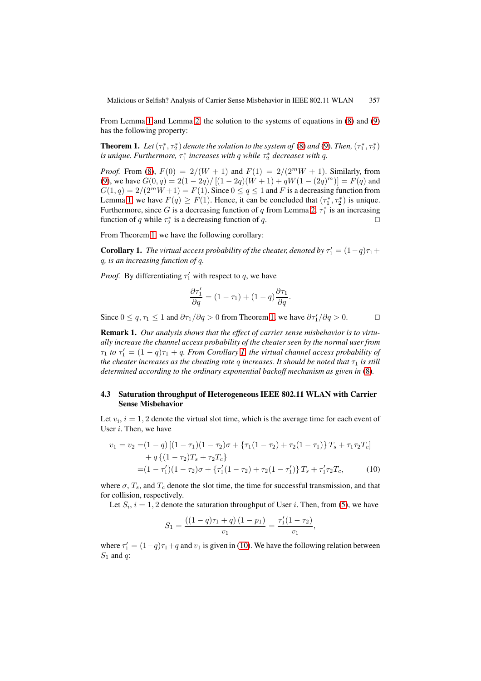Malicious or Selfish? Analysis of Carrier Sense Misbehavior in IEEE 802.11 WLAN 357

From Lemma 1 and Lemma 2, the solution to the systems of equations in (8) and (9) has the following property:

**Theorem 1.** Let  $(\tau_1^*, \tau_2^*)$  denote the solution to the system of (8) and (9). Then,  $(\tau_1^*, \tau_2^*)$ *is unique. Fur[th](#page-5-1)ermore,*  $\tau_1^*$  *i[ncr](#page-5-2)eases with q while*  $\tau_2^*$  *decreases with q.* 

<span id="page-6-0"></span>*Proof.* From (8),  $F(0) = 2/(W + 1)$  and  $F(1) = 2/(2^mW + 1)$ . Similarly, from (9), we have  $G(0, q) = 2(1 - 2q)/[(1 - 2q)(W + 1) + qW(1 - (2q)^m)] = F(q)$  and  $G(1,q)=2/(2^mW+1) = F(1)$ . Since  $0 \le q \le 1$  and F is a [de](#page-5-0)crea[sin](#page-5-3)g function from Lemma 1, we have  $F(q) \ge F(1)$ . Hence, it can be concluded that  $(\tau_1^*, \tau_2^*)$  is unique. Furthermore, [sin](#page-5-0)ce G is a decreasing function of q from Lemma 2,  $\tau_1^*$  is an increasing [fun](#page-5-3)ction of q while  $\tau_2^*$  is a decreasing function of q.

From T[he](#page-5-1)orem 1, we have the following corollary:

**Corollary 1.** *The virtual access probability of the cheater, denot[ed](#page-5-2) by*  $\tau_1' = (1-q)\tau_1 +$ q*, is an increasing function of* q*.*

<span id="page-6-1"></span>*Proof.* By diff[ere](#page-6-0)ntiating  $\tau_1'$  with respect to q, we have

$$
\frac{\partial \tau_1'}{\partial q} = (1 - \tau_1) + (1 - q) \frac{\partial \tau_1}{\partial q}.
$$

Since  $0 \le q, \tau_1 \le 1$  and  $\partial \tau_1 / \partial q > 0$  from Theorem 1, we have  $\partial \tau_1' / \partial q > 0$ .

**Remark 1.** *Our analysis shows that the effect of carrier sense misbehavior is to virtually increase the channel access probability of the cheater seen by the normal user from*  $\tau_1$  *to*  $\tau_1' = (1 - q)\tau_1 + q$ . From Corollary 1, the virtual channel access probability of *the cheater increases as the cheating rate q increas[es.](#page-6-0) It should be noted that*  $\tau_1$  *is still determined according to the ordinary exponential backoff mechanism as given in* (8)*.*

#### **4.3 Saturation throughput of Heteroge[ne](#page-6-1)ous IEEE 802.11 WLAN with Carrier Sense Misbehavior**

Let  $v_i$ ,  $i = 1, 2$  denote the virtual slot time, which is the average time for each ev[ent](#page-5-0) of User  $i$ . Then, we have

$$
v_1 = v_2 = (1 - q) [(1 - \tau_1)(1 - \tau_2)\sigma + {\tau_1(1 - \tau_2) + \tau_2(1 - \tau_1)} T_s + \tau_1 \tau_2 T_c]
$$
  
+ 
$$
q \{ (1 - \tau_2)T_s + \tau_2 T_c \}
$$
  
= 
$$
(1 - \tau_1')(1 - \tau_2)\sigma + {\tau_1'(1 - \tau_2) + \tau_2(1 - \tau_1')} T_s + \tau_1' \tau_2 T_c,
$$
 (10)

where  $\sigma$ ,  $T_s$ , and  $T_c$  denote the slot time, the time for successful transmission, and that for collision, respectively.

Let  $S_i$ ,  $i = 1, 2$  denote the saturation throughput of User i. Then, from (5), we have

<span id="page-6-2"></span>
$$
S_1 = \frac{((1-q)\tau_1 + q)(1 - p_1)}{v_1} = \frac{\tau'_1(1 - \tau_2)}{v_1},
$$

where  $\tau_1' = (1-q)\tau_1 + q$  and  $v_1$  is given in (10). We have the following rela[tio](#page-5-4)n between  $S_1$  and q: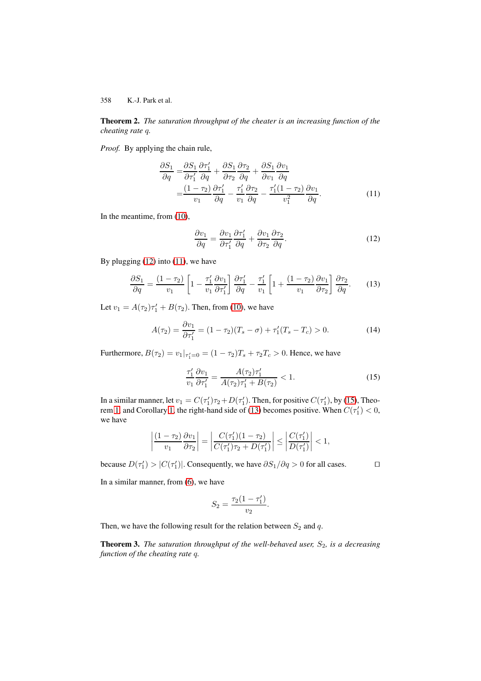**Theorem 2.** *The saturation throughput of the cheater is an increasing function of the cheating rate* q*.*

*Proof.* By applying the chain rule,

$$
\frac{\partial S_1}{\partial q} = \frac{\partial S_1}{\partial \tau_1'} \frac{\partial \tau_1'}{\partial q} + \frac{\partial S_1}{\partial \tau_2} \frac{\partial \tau_2}{\partial q} + \frac{\partial S_1}{\partial v_1} \frac{\partial v_1}{\partial q} \n= \frac{(1 - \tau_2)}{v_1} \frac{\partial \tau_1'}{\partial q} - \frac{\tau_1'}{v_1} \frac{\partial \tau_2}{\partial q} - \frac{\tau_1'(1 - \tau_2)}{v_1^2} \frac{\partial v_1}{\partial q}.
$$
\n(11)

In the meantime, from (10),

<span id="page-7-1"></span><span id="page-7-0"></span>
$$
\frac{\partial v_1}{\partial q} = \frac{\partial v_1}{\partial \tau_1'} \frac{\partial \tau_1'}{\partial q} + \frac{\partial v_1}{\partial \tau_2} \frac{\partial \tau_2}{\partial q}.
$$
 (12)

By plugging  $(12)$  into  $(11)$  $(11)$ , we have

$$
\frac{\partial S_1}{\partial q} = \frac{(1-\tau_2)}{v_1} \left[ 1 - \frac{\tau_1'}{v_1} \frac{\partial v_1}{\partial \tau_1'} \right] \frac{\partial \tau_1'}{\partial q} - \frac{\tau_1'}{v_1} \left[ 1 + \frac{(1-\tau_2)}{v_1} \frac{\partial v_1}{\partial \tau_2} \right] \frac{\partial \tau_2}{\partial q}. \tag{13}
$$

Let  $v_1 = A(\tau_2)\tau'_1 + B(\tau_2)$ . Then, from (10), we have

$$
A(\tau_2) = \frac{\partial v_1}{\partial \tau_1'} = (1 - \tau_2)(T_s - \sigma) + \tau_1'(T_s - T_c) > 0.
$$
 (14)

Furthermore,  $B(\tau_2) = v_1|_{\tau_1'=0} = (1 - \tau_2)T_s + \tau_2 T_c > 0$  $B(\tau_2) = v_1|_{\tau_1'=0} = (1 - \tau_2)T_s + \tau_2 T_c > 0$  $B(\tau_2) = v_1|_{\tau_1'=0} = (1 - \tau_2)T_s + \tau_2 T_c > 0$ . Hence, we have

$$
\frac{\tau_1'}{v_1} \frac{\partial v_1}{\partial \tau_1'} = \frac{A(\tau_2)\tau_1'}{A(\tau_2)\tau_1' + B(\tau_2)} < 1. \tag{15}
$$

In a similar manner, let  $v_1 = C(\tau_1')\tau_2 + D(\tau_1')$ . Then, for positive  $C(\tau_1')$ , by (15), Theorem 1, and Corollary 1, the right-hand side of (13) becomes positive. When  $C(\tau_1') < 0$ , we have

$$
\left|\frac{(1-\tau_2)}{v_1}\frac{\partial v_1}{\partial \tau_2}\right|=\left|\frac{C(\tau_1')(1-\tau_2)}{C(\tau_1')\tau_2+D(\tau_1')}\right|\leq \left|\frac{C(\tau_1')}{D(\tau_1')}\right|<1,
$$

because  $D(\tau_1') > |C(\tau_1')|$ . Consequently, we have  $\partial S_1/\partial q > 0$  for all cases.

<span id="page-7-2"></span>

In a similar manner, from (6), we have

$$
S_2 = \frac{\tau_2(1 - \tau_1')}{v_2}.
$$

Then, we have the followi[ng](#page-5-5) result for the relation between  $S_2$  and  $q$ .

**Theorem 3.** *The saturation throughput of the well-behaved user,*  $S_2$ *, is a decreasing function of the cheating rate* q*.*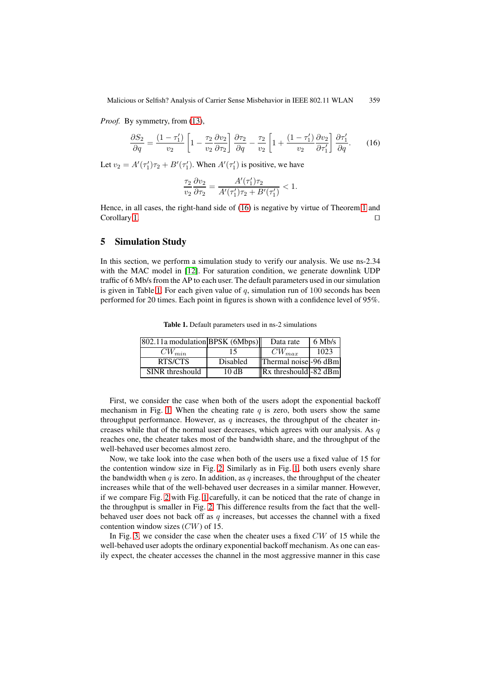*Proof.* By symmetry, from (13),

$$
\frac{\partial S_2}{\partial q} = \frac{(1 - \tau_1')}{v_2} \left[ 1 - \frac{\tau_2}{v_2} \frac{\partial v_2}{\partial \tau_2} \right] \frac{\partial \tau_2}{\partial q} - \frac{\tau_2}{v_2} \left[ 1 + \frac{(1 - \tau_1')}{v_2} \frac{\partial v_2}{\partial \tau_1'} \right] \frac{\partial \tau_1'}{\partial q}. \tag{16}
$$

Let  $v_2 = A'(\tau_1')\tau_2 + B'(\tau_1')$ [.](#page-7-2) [W](#page-7-2)hen  $A'(\tau_1')$  is positive, we have

$$
\frac{\tau_2}{v_2}\frac{\partial v_2}{\partial \tau_2} = \frac{A'(\tau_1')\tau_2}{A'(\tau_1')\tau_2 + B'(\tau_1')} < 1.
$$

Hence, in all cases, the right-hand side of (16) is negative by virtue of Theorem 1 and Corollary 1.

#### **5 Simulation Study**

<span id="page-8-0"></span>In this se[cti](#page-6-1)on, we perform a simulation study to verify our analysis. We use ns-2.34 with the MAC model in [12]. For saturation condition, we generate downlink UDP traffic of 6 Mb/s from the AP to each user. The default parameters used in our simulation is given in Table 1. For each given value of  $q$ , simulation run of 100 seconds has been performed for 20 times. Each point in figures is shown with a confidence level of 95%.

**Table 1.** Default parameters used in ns-2 simulations

| 802.11a modulation BPSK (6Mbps) |          | Data rate                                     | $6$ Mb/s |
|---------------------------------|----------|-----------------------------------------------|----------|
| $CW_{min}$                      | 15       | $CW_{max}$                                    | 1023     |
| RTS/CTS                         | Disabled | Thermal noise -96 dBm                         |          |
| SINR threshould                 | 10dB     | $\vert$ Rx threshould $\vert$ -82 dBm $\vert$ |          |

First, we consider the case when both of the users adopt the exponential backoff mechanism in Fig. 1. When the cheating rate  $q$  is zero, both users show the same throughput performance. However, as q increases, the throughput of the cheater increases while that of the normal user decreases, which agrees with our analysis. As  $q$ reaches one, the cheater takes most of the bandwidth share, and the throughput of the well-behaved user b[ec](#page-9-0)omes almost zero.

Now, we take look into the case when both of the users use a fixed value of 15 for the contention window size in Fig. 2. Similarly as in Fig. 1, both users evenly share the bandwidth when q is zero. In addition, as q increases, the throughput of the cheater increases while that of the well-behaved user decreases in a similar manner. However, if we compare Fig. 2 with Fig. 1 carefully, it can be noticed that the rate of change in the throughput is smaller in Fig. 2. [Th](#page-9-1)is difference results [fro](#page-9-0)m the fact that the wellbehaved user does not back off as  $q$  increases, but accesses the channel with a fixed contention window sizes (CW) of 15.

In Fig. 3, we co[nsi](#page-9-1)der the c[ase](#page-9-0) when the cheater uses a fixed  $CW$  of 15 while the well-behaved user adopts the ord[ina](#page-9-1)ry exponential backoff mechanism. As one can easily expect, the cheater accesses the channel in the most aggressive manner in this case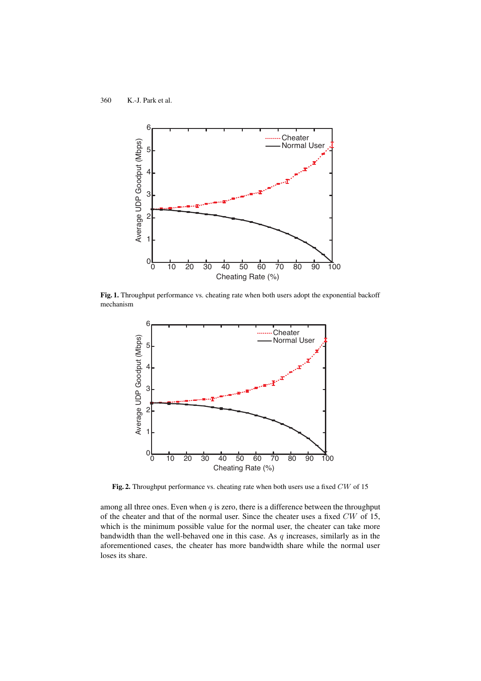

**Fig. 1.** Throughput performance vs. cheating rate when both users adopt the exponential backoff mechanism

<span id="page-9-0"></span>

<span id="page-9-1"></span>**Fig. 2.** Throughput performance vs. cheating rate when both users use a fixed *CW* of 15

among all three ones. Even when  $q$  is zero, there is a difference between the throughput of the cheater and that of the normal user. Since the cheater uses a fixed CW of 15, which is the minimum possible value for the normal user, the cheater can take more bandwidth than the well-behaved one in this case. As  $q$  increases, similarly as in the aforementioned cases, the cheater has more bandwidth share while the normal user loses its share.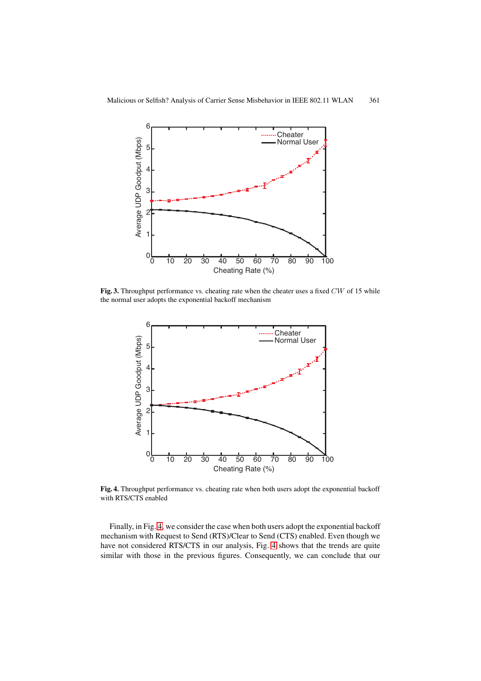

**Fig. 3.** Throughput performance vs. cheating rate when the cheater uses a fixed *CW* of 15 while the normal user adopts the exponential backoff mechanism



**Fig. 4.** Throughput performance vs. cheating rate when both users adopt the exponential backoff with RTS/CTS enabled

Finally, in Fig. 4, we consider the case when both users adopt the exponential backoff mechanism with Request to Send (RTS)/Clear to Send (CTS) enabled. Even though we have not considered RTS/CTS in our analysis, Fig. 4 shows that the trends are quite similar with those in the previous figures. Consequently, we can conclude that our